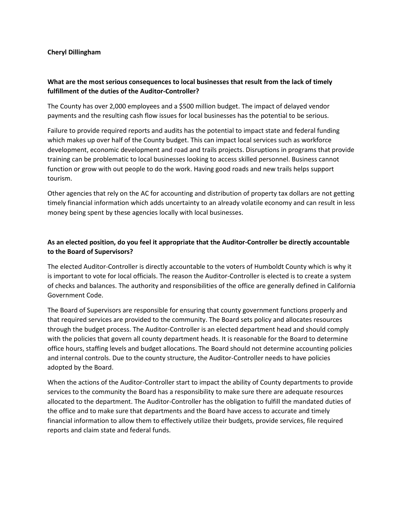## **Cheryl Dillingham**

## **What are the most serious consequences to local businesses that result from the lack of timely fulfillment of the duties of the Auditor-Controller?**

The County has over 2,000 employees and a \$500 million budget. The impact of delayed vendor payments and the resulting cash flow issues for local businesses has the potential to be serious.

Failure to provide required reports and audits has the potential to impact state and federal funding which makes up over half of the County budget. This can impact local services such as workforce development, economic development and road and trails projects. Disruptions in programs that provide training can be problematic to local businesses looking to access skilled personnel. Business cannot function or grow with out people to do the work. Having good roads and new trails helps support tourism.

Other agencies that rely on the AC for accounting and distribution of property tax dollars are not getting timely financial information which adds uncertainty to an already volatile economy and can result in less money being spent by these agencies locally with local businesses.

## **As an elected position, do you feel it appropriate that the Auditor-Controller be directly accountable to the Board of Supervisors?**

The elected Auditor-Controller is directly accountable to the voters of Humboldt County which is why it is important to vote for local officials. The reason the Auditor-Controller is elected is to create a system of checks and balances. The authority and responsibilities of the office are generally defined in California Government Code.

The Board of Supervisors are responsible for ensuring that county government functions properly and that required services are provided to the community. The Board sets policy and allocates resources through the budget process. The Auditor-Controller is an elected department head and should comply with the policies that govern all county department heads. It is reasonable for the Board to determine office hours, staffing levels and budget allocations. The Board should not determine accounting policies and internal controls. Due to the county structure, the Auditor-Controller needs to have policies adopted by the Board.

When the actions of the Auditor-Controller start to impact the ability of County departments to provide services to the community the Board has a responsibility to make sure there are adequate resources allocated to the department. The Auditor-Controller has the obligation to fulfill the mandated duties of the office and to make sure that departments and the Board have access to accurate and timely financial information to allow them to effectively utilize their budgets, provide services, file required reports and claim state and federal funds.